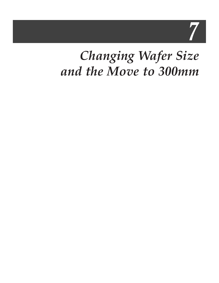7

## *Changing Wafer Size and the Move to 300mm*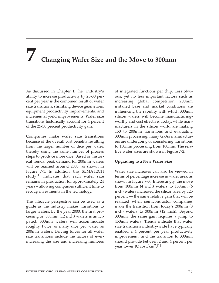# **7 Changing Wafer Size and the Move to 300mm**

As discussed in Chapter 1, the industry's ability to increase productivity by 25-30 percent per year is the combined result of wafer size transitions, shrinking device geometries, equipment productivity improvements, and incremental yield improvements. Wafer size transitions historically account for 4 percent of the 25-30 percent productivity gain.

Companies make wafer size transitions because of the overall cost benefits resulting from the larger number of dice per wafer, thereby using the same number of process steps to produce more dice. Based on historical trends, peak demand for 200mm wafers will be reached around 2003, as shown in Figure 7-1. In addition, this SEMATECH study<sup>[1]</sup> indicates that each wafer size remains in production for approximately 24 years – allowing companies sufficient time to recoup investments in the technology.

This lifecycle perspective can be used as a guide as the industry makes transitions to larger wafers. By the year 2000, the first processing on 300mm (12 inch) wafers is anticipated. 300mm wafers will accommodate roughly twice as many dice per wafer as 200mm wafers. Driving forces for all wafer size transitions include the factors of everincreasing die size and increasing numbers

of integrated functions per chip. Less obvious, yet no less important factors such as increasing global competition, 200mm installed base and market conditions are influencing the rapidity with which 300mm silicon wafers will become manufacturingworthy and cost effective. Today, while manufacturers in the silicon world are making 150 to 200mm transitions and evaluating 300mm processing, many GaAs manufacturers are undergoing or considering transitions to 150mm processing from 100mm. The relative wafer sizes are shown in Figure 7-2.

#### **Upgrading to a New Wafer Size**

Wafer size increases can also be viewed in terms of percentage increase in wafer area, as shown in Figure 7-3. Interestingly, the move from 100mm (4 inch) wafers to 150mm (6 inch) wafers increased the silicon area by 125 percent — the same relative gain that will be realized when semiconductor companies make the transition from today's 200mm (8 inch) wafers to 300mm (12 inch). Beyond 300mm, the same gain requires a jump to 450mm wafers. Trends indicate that wafer size transitions industry-wide have typically enabled a 4 percent per year productivity improvement, and the transition to 300mm should provide between 2 and 4 percent per year lower IC cost/cm<sup>2</sup>.<sup>[1]</sup>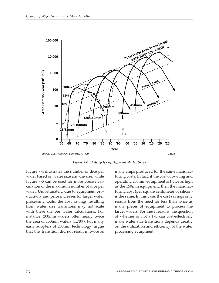

*Figure 7-1. Lifecycles of Different Wafer Sizes*

Figure 7-4 illustrates the number of dice per wafer based on wafer size and die size, while Figure 7-5 can be used for more precise calculation of the maximum number of dice per wafer. Unfortunately, due to equipment productivity and price increases for larger wafer processing tools, the cost savings resulting from wafer size transitions may not scale with these die per wafer calculations. For instance, 200mm wafers offer nearly twice the area of 150mm wafers (1.78X), but many early adopters of 200mm technology argue that this transition did not result in twice as

many chips produced for the same manufacturing costs. In fact, if the cost of owning and operating 200mm equipment is twice as high as the 150mm equipment, then the manufacturing cost (per square centimeter of silicon) is the same. In this case, the cost savings only results from the need for less than twice as many pieces of equipment to process the larger wafers. For these reasons, the question of whether or not a fab can cost-effectively make wafer size transitions depends greatly on the utilization and efficiency of the wafer processing equipment.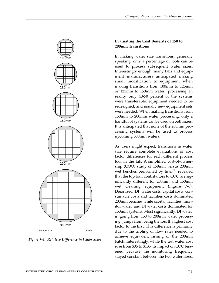

*Figure 7-2. Relative Difference in Wafer Sizes*

#### **Evaluating the Cost Benefits of 150 to 200mm Transitions**

In making wafer size transitions, generally speaking, only a percentage of tools can be used to process subsequent wafer sizes. Interestingly enough, many fabs and equipment manufacturers anticipated making small modification to equipment when making transitions from 100mm to 125mm or 125mm to 150mm wafer processing. In reality, only 40-50 percent of the systems were transferable; equipment needed to be redesigned, and usually new equipment sets were needed. When making transitions from 150mm to 200mm wafer processing, only a handful of systems can be used on both sizes. It is anticipated that none of the 200mm processing systems will be used to process upcoming 300mm wafers.

As users might expect, transitions in wafer size require complete evaluations of cost factor differences for each different process tool in the fab. A simplified cost-of-ownership (COO) study of 150mm versus 200mm wet benches performed by Intel<sup>[2]</sup> revealed that the top four contributors to COO are significantly different for 200mm and 150mm wet cleaning equipment (Figure 7-6). Deionized (DI) water costs, capital costs, consumable costs and facilities costs dominated 200mm benches while capital, facilities, monitor wafer, and DI water costs dominated for 150mm systems. Most significantly, DI water, in going from 150 to 200mm wafer processing, jumps from being the fourth highest cost factor to the first. This difference is primarily due to the tripling of flow rates needed to achieve equivalent rinsing of the 200mm batch. Interestingly, while the test wafer cost rose from \$35 to \$135, its impact on COO lessened because the monitoring frequency stayed constant between the two wafer sizes.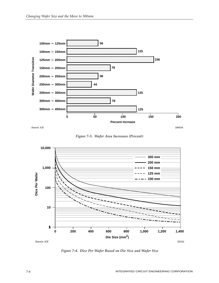

Source: ICE  $\sim$  18603A

*Figure 7-3. Wafer Area Increases (Percent)*



*Figure 7-4. Dice Per Wafer Based on Die Size and Wafer Size*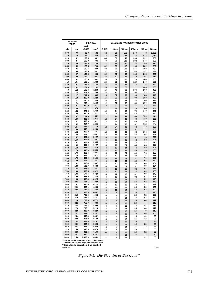|            | DIE SIZE**<br>$\sqrt{AREA}$ |                           | <b>DIE AREA</b><br><b>CANDIDATE NUMBER OF WHOLE DICE</b> |          |              |              |              |            |              |
|------------|-----------------------------|---------------------------|----------------------------------------------------------|----------|--------------|--------------|--------------|------------|--------------|
| mils       | mm                          | mi <sup>2</sup><br>x1,000 | mm <sup>2</sup>                                          | 3-INCH   | <b>100mm</b> | <b>125mm</b> | <b>150mm</b> | 200mm      | 300mm        |
| 300        | 7.6                         | 90.0                      | 58.1                                                     | 52       | 96           | 156          | 240          | 448        | 1,060        |
| 310<br>320 | 7.9<br>8.1                  | 96.1<br>102.4             | 62.0<br>66.1                                             | 44<br>44 | 88<br>80     | 148<br>140   | 224<br>208   | 424<br>392 | 1,012<br>936 |
| 330        | 8.4                         | 108.9                     | 70.3                                                     | 40       | 76           | 120          | 192          | 376        | 880          |
| 340        | 8.6                         | 115.6                     | 74.6                                                     | 32       | 76           | 120          | 188          | 340        | 820          |
| 350        | 8.9                         | 122.5                     | 79.0                                                     | 32       | 68           | 112          | 164          | 332        | 780          |
| 360<br>370 | 9.1<br>9.4                  | 129.6<br>136.9            | 83.6<br>88.3                                             | 32<br>32 | 60<br>52     | 112<br>96    | 156<br>148   | 308<br>292 | 732<br>688   |
| 380        | 9.7                         | 144.4                     | 93.2                                                     | 32       | 52           | 96           | 148          | 268        | 656          |
| 390        | 9.9                         | 152.1                     | 98.1                                                     | 24       | 52           | 88           | 140          | 256        | 616          |
| 400        | 10.2                        | 160.0                     | 103.2                                                    | 24       | 52           | 80           | 120          | 248        | 600          |
| 410        | 10.4<br>10.7                | 168.1                     | 108.5                                                    | 24       | 52<br>44     | 80           | 120          | 240        | 556          |
| 420<br>430 | 10.9                        | 176.4<br>184.9            | 113.8<br>119.3                                           | 24<br>24 | 44           | 76<br>76     | 112<br>112   | 216<br>208 | 540<br>508   |
| 440        | 11.2                        | 193.6                     | 124.9                                                    | 16       | 40           | 68           | 104          | 208        | 492          |
| 450        | 11.4                        | 202.5                     | 130.6                                                    | 16       | 32           | 68           | 96           | 188        | 460          |
| 460        | 11.7                        | 211.6                     | 136.5                                                    | 16       | 32           | 60           | 96           | 188        | 440          |
| 470        | 11.9                        | 220.9                     | 142.5                                                    | 16       | 32           | 52           | 88           | 180        | 432          |
| 480<br>490 | 12.2<br>12.4                | 230.4<br>240.1            | 148.6<br>154.9                                           | 16<br>12 | 32<br>32     | 52<br>52     | 88<br>80     | 164<br>156 | 392<br>392   |
| 500        | 12.7                        | 250.0                     | 161.3                                                    | 12       | 32           | 52           | 76           | 148        | 376          |
| 510        | 13.0                        | 260.1                     | 167.8                                                    | 12       | 32           | 52           | 76           | 148        | 356          |
| 520        | 13.2                        | 270.4                     | 174.5                                                    | 12       | 24           | 52           | 76           | 148        | 340          |
| 530        | 13.5                        | 280.9                     | 181.2                                                    | 12       | 24           | 44           | 68           | 132        | 332          |
| 540<br>550 | 13.7<br>14.0                | 291.6<br>302.5            | 188.1<br>195.2                                           | 12<br>12 | 24<br>24     | 44<br>40     | 68<br>68     | 120<br>120 | 316<br>308   |
| 560        | 14.2                        | 313.6                     | 202.3                                                    | 12       | 24           | 40           | 60           | 120        | 292          |
| 570        | 14.5                        | 324.9                     | 209.6                                                    | 12       | 24           | 32           | 52           | 112        | 284          |
| 580        | 14.7                        | 336.4                     | 217.0                                                    | 12       | 24           | 32           | 52           | 112        | 268          |
| 590        | 15.0                        | 348.1<br>360.0            | 224.6<br>232.3                                           | 12       | 16           | 32           | 52           | 112        | 256          |
| 600<br>610 | 15.2<br>15.5                | 372.1                     | 240.1                                                    | 12<br>12 | 16<br>16     | 32<br>32     | 52<br>52     | 104<br>96  | 256<br>248   |
| 620        | 15.7                        | 384.4                     | 248.0                                                    | 4        | 16           | 32           | 52           | 96         | 240          |
| 630        | 16.0                        | 396.9                     | 256.1                                                    | 4        | 16           | 32           | 52           | 88         | 224          |
| 640        | 16.3                        | 409.6                     | 264.3                                                    | 4        | 16           | 32           | 44           | 88         | 216          |
| 650        | 16.5                        | 422.5<br>435.6            | 272.6<br>281.0                                           | 4<br>4   | 16           | 24           | 44           | 88         | 208<br>208   |
| 660<br>670 | 16.8<br>17.0                | 448.9                     | 289.6                                                    | 4        | 12<br>12     | 24<br>24     | 44<br>40     | 80<br>80   | 200          |
| 680        | 17.3                        | 462.4                     | 298.3                                                    | 4        | 12           | 24           | 40           | 76         | 188          |
| 690        | 17.5                        | 476.1                     | 307.2                                                    | 4        | 12           | 24           | 32           | 76         | 188          |
| 700        | 17.8                        | 490.0                     | 316.1                                                    | 4        | 12           | 24           | 32           | 76         | 180          |
| 710<br>720 | 18.0<br>18.3                | 504.1<br>518.4            | 325.2<br>334.5                                           | 4<br>4   | 12<br>12     | 24<br>24     | 32<br>32     | 68<br>68   | 180<br>164   |
| 730        | 18.5                        | 532.9                     | 343.8                                                    | 4        | 12           | 24           | 32           | 68         | 164          |
| 740        | 18.8                        | 547.6                     | 353.3                                                    | 4        | 12           | 16           | 32           | 68         | 156          |
| 750        | 19.0                        | 562.5                     | 362.9                                                    | 4        | 12           | 16           | 32           | 60         | 156          |
| 760<br>770 | 19.3<br>19.6                | 577.6<br>592.9            | 372.6<br>382.5                                           | 4        | 12           | 16           | 32           | 60<br>52   | 148<br>148   |
| 780        | 19.8                        | 608.4                     | 392.5                                                    | 4<br>4   | 12<br>12     | 16<br>16     | 32<br>32     | 52         | 148          |
| 790        | 20.1                        | 624.1                     | 402.6                                                    | 4        | 12           | 16           | 24           | 52         | 148          |
| 800        | 20.3                        | 640.0                     | 412.9                                                    | 4        | 12           | 16           | 24           | 52         | 132          |
| 810        | 20.6                        | 656.1                     | 423.3                                                    | 4        | 12           | 16           | 24           | 52         | 132          |
| 820<br>830 | 20.8<br>21.1                | 672.4<br>688.9            | 433.8<br>444.5                                           | 4        | 12           | 16           | 24<br>24     | 52<br>52   | 120<br>120   |
| 840        | 21.3                        | 705.6                     | 455.2                                                    | 4<br>4   | 4<br>4       | 12<br>12     | 24           | 52         | 120          |
| 850        | 21.6                        | 722.5                     | 466.1                                                    | 4        | 4            | 12           | 24           | 52         | 120          |
| 860        | 21.8                        | 739.6                     | 477.2                                                    | 4        | 4            | 12           | 24           | 44         | 112          |
| 870        | 22.1                        | 756.9                     | 488.3                                                    | 4        | 4            | 12           | 24           | 44         | 112          |
| 880        | 22.4                        | 774.4                     | 499.6                                                    | 4        | 4            | 12           | 24           | 44<br>44   | 112<br>112   |
| 890<br>900 | 22.6<br>22.9                | 792.1<br>810.0            | 511.0<br>522.6                                           | 4<br>4   | 4<br>4       | 12<br>12     | 24<br>16     | 40         | 112          |
| 910        | 23.1                        | 828.1                     | 534.3                                                    | 4        | 4            | 12           | 16           | 40         | 104          |
| 920        | 23.4                        | 846.4                     | 546.1                                                    | 4        | 4            | 12           | 16           | 40         | 96           |
| 930        | 23.6                        | 864.9                     | 558.0                                                    | 4        | 4            | 12           | 16           | 32         | 96           |
| 940        | 23.9                        | 883.6<br>902.5            | 570.1<br>582.3                                           | 4        | 4            | 12           | 16           | 32<br>32   | 96<br>88     |
| 950<br>960 | 24.1<br>24.4                | 921.6                     | 594.6                                                    | 4<br>4   | 4<br>4       | 12<br>12     | 16<br>16     | 32         | 88           |
| 970        | 24.6                        | 940.9                     | 607.0                                                    | 4        | 4            | 12           | 16           | 32         | 88           |
| 980        | 24.9                        | 960.4                     | 619.6                                                    |          | 4            | 12           | 16           | 32         | 88           |
| 990        | 25.1                        | 980.1                     | 632.3                                                    |          | 4            | 12           | 16           | 32         | 80           |
| 1,000      | 25.4                        | 1,000.0                   | 645.2                                                    |          | 4            | 12           | 12           | 32         | 80           |

**Corner of die at center of full radius wafer. 3mm band around edge of wafer not used. Size after die separation, 3 mil saw kerf. \***

**\*\***

Source: ICE 22673

*Figure 7-5. Die Size Versus Die Count\**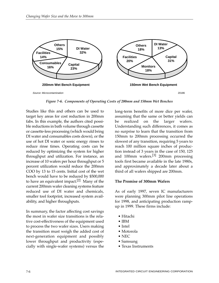

*Figure 7-6. Components of Operating Costs of 200mm and 150mm Wet Benches*

Studies like this and others can be used to target key areas for cost reduction in 200mm fabs. In this example, the authors cited possible reductions in bath volume through cassette or cassette-less processing (which would bring DI water and consumables costs down), or the use of hot DI water or sonic energy rinses to reduce rinse times. Operating costs can be reduced by optimizing the system for higher throughput and utilization. For instance, an increase of 10 wafers per hour throughput or 5 percent utilization would reduce the 200mm COO by 13 to 15 cents. Initial cost of the wet bench would have to be reduced by \$500,000 to have an equivalent impact.<sup>[2]</sup> Many of the current 200mm wafer cleaning systems feature reduced use of DI water and chemicals, smaller tool footprint, increased system availability, and higher throughputs.

In summary, the factor affecting cost savings the most in wafer size transitions is the relative cost-effectiveness of the equipment used to process the two wafer sizes. Users making the transition must weigh the added cost of next-generation equipment and possibly lower throughput and productivity (especially with single-wafer systems) versus the

long-term benefits of more dice per wafer, assuming that the same or better yields can be realized on the larger wafers. Understanding such differences, it comes as no surprise to learn that the transition from 150mm to 200mm processing occurred the slowest of any transition, requiring 5 years to reach 100 million square inches of production instead of 3 years in the case of 150, 125 and 100mm wafers.<sup>[3]</sup> 200mm processing tools first became available in the late 1980s, and approximately a decade later about a third of all wafers shipped are 200mm.

#### **The Promise of 300mm Wafers**

As of early 1997, seven IC manufacturers were planning 300mm pilot line operations for 1998, and anticipating production rampup in 1999. These firms include:

- Hitachi
- IBM
- Intel
- Motorola
- NEC
- Samsung
- Texas Instruments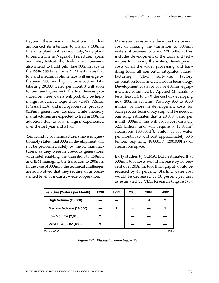Beyond these early indications, TI has announced its intention to install a 300mm line at its plant in Avezzano, Italy; Sony plans to build a line in Nagasaki Prefecture, Japan; and Intel, Mitsubishi, Toshiba and Siemens also intend to build pilot line 300mm fabs in the 1998-1999 time frame. SEMI estimates that low and medium volume fabs will emerge by the year 2000 and high volume 300mm fabs (starting 20,000 wafer per month) will soon follow (see Figure 7-7). The first devices produced on these wafers will probably be highmargin advanced logic chips (DSPs, ASICs, FPGAs, PLDs) and microprocessors, probably  $0.18\mu$ m generation devices, while memory manufacturers are expected to trail in 300mm adoption due to low margins experienced over the last year and a half.

Semiconductor manufacturers have unquestionably stated that 300mm development will not be performed solely by the IC manufacturers, as they were in previous generations with Intel enabling the transition to 150mm and IBM managing the transition to 200mm. In the case of 300mm, the technical challenges are so involved that they require an unprecedented level of industry-wide cooperation.

Many sources estimate the industry's overall cost of making the transition to 300mm wafers at between \$15 and \$20 billion. This includes development of the tools and techniques for making the wafers, development costs of all the wafer processing and handling tools, all computer integrated manufacturing (CIM) software, factory automation tools, and cleanroom technology. Development costs for 300 or 400mm equipment are estimated by Applied Materials to be at least 1.4 to 1.7X the cost of developing new 200mm systems. Possibly \$50 to \$100 million or more in development costs for each process technology step will be needed. Samsung estimates that a 20,000 wafer per month 300mm line will cost approximately \$2.4 billion, and will require a  $12,000$ m<sup>2</sup> cleanroom  $(130,000 \text{ ft}^2)$ , while a 30,000 wafer per month fab will cost approximately \$3.6 billion, requiring  $18,000m^2$  (200,000ft2) of cleanroom space.

Early studies by SEMATECH estimated that 300mm tool costs would increase by 50 percent over 200mm, tool throughput would be reduced by 40 percent. Starting wafer cost would be decreased by 30 percent per unit as estimated by VLSI Research (Figure 7-8).

| Fab Size (Wafers per Month) | 1998 | 1999 | 2000 | 2001 | 2002 |  |
|-----------------------------|------|------|------|------|------|--|
| High Volume (20,000)        |      |      | 5    | 4    | 2    |  |
| Medium Volume (10,000)      |      |      |      |      |      |  |
| Low Volume (2,000)          | 2    | 5    |      |      |      |  |
| Pilot Line (500-1,000)      | 9    | 5    |      |      |      |  |
| Source: SEMI<br>22665       |      |      |      |      |      |  |

*Figure 7-7. Planned 300mm Wafer Fabs*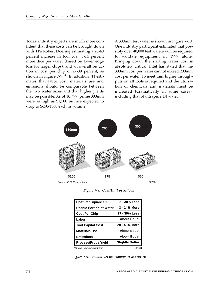Today industry experts are much more confident that these costs can be brought down with TI's Robert Doering estimating a 20-40 percent increase in tool cost, 3-14 percent more dice per wafer (based on lower edge loss for larger chips), and an overall reduction in cost per chip of 27-39 percent, as shown in Figure 7-9.<sup>[4]</sup> In addition, TI estimates that labor cost, materials use and emissions should be comparable between the two wafer sizes and that higher yields may be possible. As of 1Q '97, prime 300mm were as high as \$1,500 but are expected to drop to \$650-\$800 each in volume.

A 300mm test wafer is shown in Figure 7-10. One industry participant estimated that possibly over 40,000 test wafers will be required to validate equipment in 1997 alone. Bringing down the starting wafer cost is absolutely critical. Intel has stated that the 300mm cost per wafer cannot exceed 200mm cost per wafer. To meet this, higher throughputs on all tools is required and the utilization of chemicals and materials must be increased (dramatically in some cases), including that of ultrapure DI water.



Source: VLSI Research Inc. 22798

*Figure 7-8. Cost/Unit of Silicon*

| Cost Per Square cm             | 25 - 30% Less          |
|--------------------------------|------------------------|
| <b>Usable Portion of Wafer</b> | 3 - 14% More           |
| <b>Cost Per Chip</b>           | 27 - 39% Less          |
| Labor                          | <b>About Equal</b>     |
| Tool Capital Cost              | 20 - 40% More          |
| <b>Materials Use</b>           | <b>About Equal</b>     |
| <b>Emissions</b>               | <b>About Equal</b>     |
| <b>Process/Probe Yield</b>     | <b>Slightly Better</b> |
| Source: Texas Instruments      | 22623                  |

*Figure 7-9. 300mm Versus 200mm at Maturity*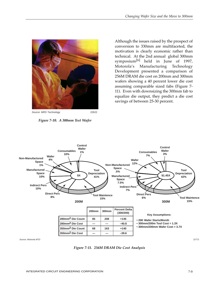

Source: MRS Technology 22622

*Figure 7-10. A 300mm Test Wafer*

Although the issues raised by the prospect of conversion to 330mm are multifaceted, the motivation is clearly economic rather than technical. At the 2nd annual global 300mm symposium[6] held in June of 1997, Motorola's Manufacturing Technology Development presented a comparison of 256M DRAM die cost on 200mm and 300mm wafers showing a 40 percent lower die cost assuming comparable sized fabs (Figure 7- 11). Even with downsizing the 300mm fab to equalize die output, they predict a die cost savings of between 25-30 percent.



*Figure 7-11. 256M DRAM Die Cost Analysis*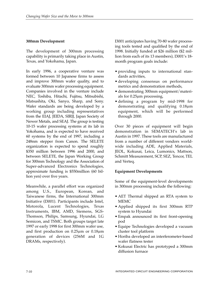#### **300mm Development**

The development of 300mm processing capability is primarily taking place in Austin, Texas, and Yokohama, Japan.

In early 1996, a cooperative venture was formed between 10 Japanese firms to assess and improve 300mm wafer quality, and to evaluate 300mm wafer processing equipment. Companies involved in the venture include NEC, Toshiba, Hitachi, Fujitsu, Mitsubishi, Matsushita, Oki, Sanyo, Sharp, and Sony. Wafer standards are being developed by a working group including representatives from the EIAJ, JEIDA, SIRIJ, Japan Society of Newer Metals, and SEAJ. The group is testing 10-15 wafer processing systems at its lab in Yokohama, and is expected to have received 60 systems by the end of 1997, including a 248nm stepper from Canon. The SELETE organization is expected to spend roughly \$350 million between 1996 and 2000, and between SELETE, the Japan Working Group for 300mm Technology and the Association of Super-advanced Electronics Technologies, approximate funding is \$550million (60 billion yen) over five years.

Meanwhile, a parallel effort was organized among U.S., European, Korean, and Taiwanese firms, the International 300mm Initiative (I3001). Participants include Intel, Motorola, Lucent Technologies, Texas Instruments, IBM, AMD, Siemens, SGS-Thomson, Philips, Samsung, Hyundai, LG Semicon, and TSMC. Both groups target late 1997 or early 1998 for first 300mm wafer use, and first production on  $0.25 \mu m$  or  $0.18 \mu m$ generation of devices (256M and 1G DRAMs, respectively).

I3001 anticipates having 70-80 wafer processing tools tested and qualified by the end of 1998. Initially funded at \$26 million (\$2 million from each of its 13 members), I3001's 18 month program goals include:

- providing inputs to international standards activities,
- developing consensus on performance metrics and demonstration methods,
- demonstrating 300mm equipment/materials for 0.25µm processing,
- defining a program by mid-1998 for demonstrating and qualifying 0.18µm equipment, which will be performed through 2000.

Over 30 pieces of equipment will begin demonstration in SEMATECH's lab in Austin in 1997. These tools are manufactured from a number of different vendors worldwide including ADE, Applied Materials, JEOL, Kokusai, Leica, Lumonics, Mattson, Schmitt Measurement, SCP, SEZ, Tencor, TEL and Verteq.

#### **Equipment Developments**

Some of the equipment-level developments in 300mm processing include the following:

- AET Thermal shipped an RTA system to MEMC
- Applied shipped its first 300mm RTP system to Hyundai
- Empak announced its first front-opening pod
- Equipe Technologies developed a vacuum cluster tool platform
- Horiba developed an interferometer-based wafer flatness tester
- Kokusai Electric has prototyped a 300mm diffusion furnace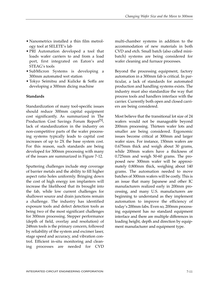- Nanometrics installed a thin film metrology tool at SELETE's lab
- PRI Automation developed a tool that loads wafer carriers to and from a load port, first integrated on Eaton's and STEAG's tools
- SubMicron Systems is developing a 300mm automated wet station
- Tokyo Seimitsu and Kulicke & Soffa are developing a 300mm dicing machine

### **Standards**

Standardization of many tool-specific issues should reduce 300mm capital equipment cost significantly. As summarized in The Production Cost Savings Forum Report<sup>[5]</sup>, lack of standardization in the industry on non-competitive parts of the wafer processing systems typically leads to capital cost increases of up to 2X the base system cost. For this reason, such standards are being developed for 300mm processing with many of the issues are summarized in Figure 7-12.

Sputtering challenges include step coverage of barrier metals and the ability to fill higher aspect ratio holes uniformly. Bringing down the cost of high energy ion implanters will increase the likelihood that its brought into the fab, while low current challenges for shallower source and drain junctions remain a challenge. The industry has identified exposure tools and defect detection tools as being two of the most significant challenges for 300mm processing. Stepper performance (depth of field, overlay and resolution) of 248nm tools is the primary concern, followed by reliability of the system and excimer laser, stage speed and accuracy, and vibration control. Efficient in-situ monitoring and cleaning processes are needed for CVD

multi-chamber systems in addition to the accommodation of new materials in both CVD and etch. Small batch (also called minibatch) systems are being considered for wafer cleaning and furnace processes.

Beyond the processing equipment, factory automation in a 300mm fab is critical. In particular, a lack of standards for automated production and handling systems exists. The industry must also standardize the way that process tools and handlers interface with the carrier. Currently both open and closed carriers are being considered.

Most believe that the transitional lot size of 24 wafers would not be manageable beyond 200mm processing. Thirteen wafer lots and smaller are being considered. Ergonomic issues become critical at 300mm and larger wafer sizes. For instance, 150mm wafers are 0.675mm thick and weigh about 30 grams, while 200mm wafers have a thickness of 0.725mm and weigh 50-60 grams. The proposed new 300mm wafer will be approximately 0.800mm thick, weighing about 140 grams. The automation needed to move batches of 300mm wafers will be costly. This is an issue that many Japanese and other IC manufacturers realized early in 200mm processing, and many U.S. manufacturers are beginning to understand as they implement automation to improve the efficiency of today's 200mm fabs. Even so, 200mm processing equipment has no standard equipment interface and there are multiple differences in loading height, depth and direction by equipment manufacturer and equipment type.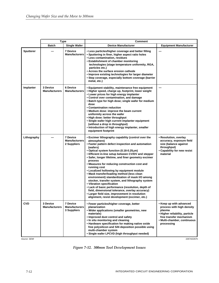|                  | Type                             |                                                        | <b>Comment</b>                                                                                                                                                                                                                                                                                                                                                                                                                                                                                                                                                                                                                                                                                                                                                                                                          |                                                                                                                                                                          |  |  |
|------------------|----------------------------------|--------------------------------------------------------|-------------------------------------------------------------------------------------------------------------------------------------------------------------------------------------------------------------------------------------------------------------------------------------------------------------------------------------------------------------------------------------------------------------------------------------------------------------------------------------------------------------------------------------------------------------------------------------------------------------------------------------------------------------------------------------------------------------------------------------------------------------------------------------------------------------------------|--------------------------------------------------------------------------------------------------------------------------------------------------------------------------|--|--|
|                  | <b>Batch</b>                     | <b>Single Wafer</b>                                    | <b>Device Manufacturer</b>                                                                                                                                                                                                                                                                                                                                                                                                                                                                                                                                                                                                                                                                                                                                                                                              | <b>Equipment Manufacturer</b>                                                                                                                                            |  |  |
| <b>Sputterer</b> |                                  | <b>7 Device</b><br><b>Manufacturers</b>                | • Less particles/higher coverage and better filling<br>• Sputtering in finer, higher aspect ratio holes<br>• Less contamination, residues<br>• Establishment of chamber monitoring<br>technologies (stage temperature uniformity, RGA,<br>particles etc.)<br>• Across the surface erosion cathode<br>• Improve existing technologies for larger diameter<br>• Step coverage, especially bottom coverage (barrier<br>metal, etc.)                                                                                                                                                                                                                                                                                                                                                                                        |                                                                                                                                                                          |  |  |
| Implanter        | 3 Device<br><b>Manufacturers</b> | <b>6 Device</b><br><b>Manufacturers</b>                | • Equipment stability, maintenance free equipment<br>• Higher speed, charge up, footprint, lower weight<br>• Lower prices for high energy implanter<br>• Control over contamination, and damage<br>• Batch type for high dose; single wafer for medium<br>dose<br>• Contamination reduction<br>• Medium dose: improve the beam current<br>uniformity across the wafer<br>• High dose: better throughput<br>• Single wafer high current implanter equipment<br>(without a drop in throughput)<br>. Introduction of high energy implanter, smaller<br>equipment footprint                                                                                                                                                                                                                                                 |                                                                                                                                                                          |  |  |
| Lithography      |                                  | <b>7 Device</b><br><b>Manufacturers</b><br>2 Suppliers | • Excimer lithography capability (control over the<br>atmosphere)<br>• Faster pattern defect inspection and automation<br>(wafers)<br>• Optical system function (0.18-0.25 $\mu$ m)<br>• Efficient in-line setup between CV/DV and stepper<br>• Safer, longer lifetime, and finer geometry excimer<br>process<br>• Measures for reducing construction cost and<br>running cost<br>• Localized hollowing by equipment module<br>. Mask transfer/loading method (less clean<br>environment) standardization of mask I/O among<br>stocker, transfer system, and lithography system<br>• Vibration specification<br>• Lack of basic performance (resolution, depth of<br>field, dimensional tolerance, overlay accuracy)<br>• Larger field size, improvement in resolution<br>alignment, resist development (excimer, etc.) | • Resolution, overlay<br>accuracy, exposure field<br>size (balance against<br>throughput)<br>• Capability for new resist<br>material                                     |  |  |
| <b>CVD</b>       | 3 Device<br><b>Manufacturers</b> | <b>7 Device</b><br><b>Manufacturers</b><br>3 Suppliers | • Fewer particles/higher coverage, better<br>planarization<br>. Wider applications (smaller geometries, new<br>materials)<br>. Improved dust control and safety<br>. In situ monitoring and cleaning<br>• Hardware specification for making native oxide<br>free polysilicon and SiN deposition possible using<br>multi-chamber system<br>• Single wafer LPCVD (high throughput needed)                                                                                                                                                                                                                                                                                                                                                                                                                                 | • Keep up with advanced<br>process with high density<br>plasma<br>• Higher reliability, particle<br>free transfer mechanism<br>• Multi-chamber, continuous<br>processing |  |  |

Source: SEMI 22674/22675

*Figure 7-12. 300mm Tool Development Issues*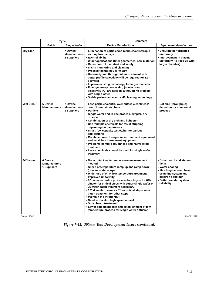|                  | <b>Type</b>                                     |                                                        | <b>Comment</b>                                                                                                                                                                                                                                                                                                                                                                                                                                                                                                                                                                                                                                                |                                                                                                                                                                            |  |  |  |
|------------------|-------------------------------------------------|--------------------------------------------------------|---------------------------------------------------------------------------------------------------------------------------------------------------------------------------------------------------------------------------------------------------------------------------------------------------------------------------------------------------------------------------------------------------------------------------------------------------------------------------------------------------------------------------------------------------------------------------------------------------------------------------------------------------------------|----------------------------------------------------------------------------------------------------------------------------------------------------------------------------|--|--|--|
|                  | <b>Batch</b>                                    | <b>Single Wafer</b>                                    | <b>Device Manufacturer</b>                                                                                                                                                                                                                                                                                                                                                                                                                                                                                                                                                                                                                                    | <b>Equipment Manufacturer</b>                                                                                                                                              |  |  |  |
| Dry Etch         |                                                 | 7 Device<br><b>Manufacturers</b><br>2 Suppliers        | • Elimination of particles/no residues/anisotropic<br>etching/low damage<br>• EDP reliability<br>• Wider applications (finer geometries, new material)<br>• Better control over dust and safety<br>. In situ monitoring and cleaning<br>• Process technology for 0.2µm<br>. Uniformity and throughput improvement with<br>better profile selectivity will be required for 12"<br>diameter<br>. Improve existing technology for larger diameter<br>• Finer geometry processing (contact) and<br>selectivity (AI) are needed, although no problem<br>with single wafer<br>• Stable performance and self cleaning technology                                     | • Ensuring performance<br>uniformity<br>• Improvement in plasma<br>uniformity (to keep up with<br>larger chamber)                                                          |  |  |  |
| <b>Wet Etch</b>  | 5 Device<br><b>Manufacturers</b>                | <b>7 Device</b><br><b>Manufacturers</b><br>1 Suppliers | • Less particles/control over suface cleanliness/<br>control over atmosphere<br>• Particle<br>• Single wafer and in-line process, simpler, dry<br>process<br>• Combination of dry etch and light etch<br>• Use multiple chemicals for resist stripping<br>depending on the process<br>• Small, low capacity wet etcher for various<br>applications<br>• Combined use of single wafer treatment equipment<br>and small batch treatment equipment<br>• Problems of micro-roughness and native oxide<br>treatment<br>• Less chemicals should be used for single wafer<br>treatment                                                                               | • Lot size (throughput)<br>definition for compound<br>process                                                                                                              |  |  |  |
| <b>Diffusion</b> | 6 Device<br><b>Manufacturers</b><br>1 Suppliers |                                                        | • Non-contact wafer temperature measurement<br>method<br>• Speed of temperature ramp up and ramp down<br>(prevent wafer warp)<br>. Wider use of RTP, low temperature treatment<br>• Improved uniformity<br>• 8" diameter: entire process is batch type for 64M,<br>cluster for critical steps with 256M (single wafer or<br>25 wafer batch treatment necessary)<br>• 12" diameter: same as 8" for critical steps, mini<br>batch treatment for other steps<br>• Maintain the throughput<br>• Need to develop high speed anneal<br>• Small batch treatment<br>• Lower equipment cost and establishment of low<br>temperature process for single wafer diffusion | • Structure of end station<br>tie-in<br>• Wafer cooling<br>• Matching between beam<br>scanning system and<br>electron flood gun<br>• Better transfer system<br>reliability |  |  |  |

Source: SEMI 22676/22677

*Figure 7-12. 300mm Tool Development Issues (continued)*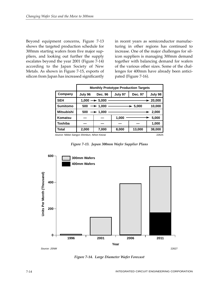Beyond equipment concerns, Figure 7-13 shows the targeted production schedule for 300mm starting wafers from five major suppliers, and looking out further the supply escalates beyond the year 2001 (Figure 7-14) according to the Japan Society of New Metals. As shown in Figure 7-15, exports of silicon from Japan has increased significantly in recent years as semiconductor manufacturing in other regions has continued to increase. One of the major challenges for silicon suppliers is managing 300mm demand together with balancing demand for wafers of the various other sizes. Some of the challenges for 400mm have already been anticipated (Figure 7-16).

|                                                      | <b>Monthly Prototype Production Targets</b>   |                |         |         |        |  |  |
|------------------------------------------------------|-----------------------------------------------|----------------|---------|---------|--------|--|--|
| Company                                              | July 96                                       | <b>Dec. 96</b> | Dec. 97 | July 98 |        |  |  |
| <b>SEH</b>                                           | $1.000 \rightarrow 5.000$<br>$\div$ 20,000    |                |         |         |        |  |  |
| <b>Sumitomo</b>                                      | 10,000<br>500<br>$\rightarrow$ 1.000<br>5,000 |                |         |         |        |  |  |
| <b>Mitsubishi</b>                                    | 500<br>$\rightarrow$ 1.000<br>2.000           |                |         |         |        |  |  |
| Komatsu                                              |                                               |                | 1,000   | 5.000   |        |  |  |
| Toshiba                                              |                                               |                |         |         | 1,000  |  |  |
| Total                                                | 2,000                                         | 7,000          | 8,000   | 13,000  | 38,000 |  |  |
| Source: Nikkei Sangyo Shimbun, Nihon Keizai<br>22625 |                                               |                |         |         |        |  |  |

*Figure 7-13. Japan 300mm Wafer Supplier Plans*



*Figure 7-14. Large Diameter Wafer Forecast*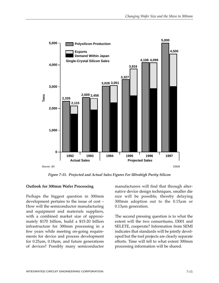

*Figure 7-15. Projected and Actual Sales Figures For Ultrahigh Purity Silicon*

#### **Outlook for 300mm Wafer Processing**

Perhaps the biggest question in 300mm development pertains to the issue of cost – How will the semiconductor manufacturing and equipment and materials suppliers, with a combined market size of approximately \$170 billion, build a \$15-20 billion infrastructure for 300mm processing in a few years while meeting on-going requirements for device and process development for  $0.25\mu$ m,  $0.18\mu$ m, and future generations of devices? Possibly many semiconductor

manufacturers will find that through alternative device design techniques, smaller die size will be possible, thereby delaying 300mm adoption out to the  $0.15 \mu m$  or  $0.13 \mu m$  generation.

The second pressing question is to what the extent will the two consortiums, I3001 and SELETE, cooperate? Information from SEMI indicates that standards will be jointly developed but the tool projects are clearly separate efforts. Time will tell to what extent 300mm processing information will be shared.